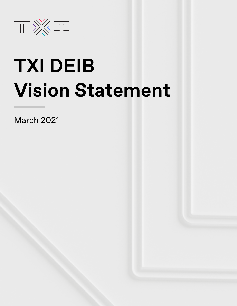

# **TXI DEIB Vision Statement**

March 2021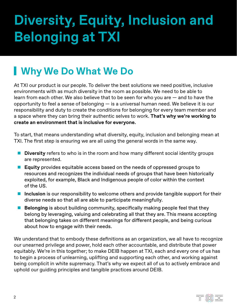## **Diversity, Equity, Inclusion and Belonging at TXI**

### **Why We Do What We Do**

At TXI our product is our people. To deliver the best solutions we need positive, inclusive environments with as much diversity in the room as possible. We need to be able to learn from each other. We also believe that to be seen for who you are — and to have the opportunity to feel a sense of belonging — is a universal human need. We believe it is our responsibility and duty to create the conditions for belonging for every team member and a space where they can bring their authentic selves to work. **That's why we're working to create an environment that is inclusive for everyone.**

To start, that means understanding what diversity, equity, inclusion and belonging mean at TXI. The first step is ensuring we are all using the general words in the same way.

- **Diversity** refers to who is in the room and how many different social identity groups are represented.
- **Equity** provides equitable access based on the needs of oppressed groups to resources and recognizes the individual needs of groups that have been historically exploited, for example, Black and Indigenous people of color within the context of the US.
- **If inclusion** is our responsibility to welcome others and provide tangible support for their diverse needs so that all are able to participate meaningfully.
- **Belonging** is about building community, specifically making people feel that they belong by leveraging, valuing and celebrating all that they are. This means accepting that belonging takes on different meanings for different people, and being curious about how to engage with their needs.

We understand that to embody these definitions as an organization, we all have to recognize our unearned privilege and power, hold each other accountable, and distribute that power equitably. We're in this together; to make DEIB happen at TXI, each and every one of us has to begin a process of unlearning, uplifting and supporting each other, and working against being complicit in white supremacy. That's why we expect all of us to actively embrace and uphold our guiding principles and tangible practices around DEIB.

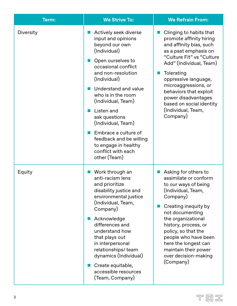| Term:     | <b>We Strive To:</b>                                                                                                                                                                                                                                                                                                                                                                                      | <b>We Refrain From:</b>                                                                                                                                                                                                                                                                                                                     |
|-----------|-----------------------------------------------------------------------------------------------------------------------------------------------------------------------------------------------------------------------------------------------------------------------------------------------------------------------------------------------------------------------------------------------------------|---------------------------------------------------------------------------------------------------------------------------------------------------------------------------------------------------------------------------------------------------------------------------------------------------------------------------------------------|
| Diversity | Actively seek diverse<br>input and opinions<br>beyond our own<br>(Individual)<br>Open ourselves to<br>occasional conflict<br>and non-resolution<br>(Individual)<br>Understand and value<br>who is in the room<br>(Individual, Team)<br>Listen and<br>ask questions<br>(Individual, Team)<br>Embrace a culture of<br>feedback and be willing<br>to engage in healthy<br>conflict with each<br>other (Team) | Clinging to habits that<br>promote affinity hiring<br>and affinity bias, such<br>as a past emphasis on<br>"Culture Fit" vs "Culture<br>Add" (Individual, Team)<br>Tolerating<br>oppressive language,<br>microaggressions, or<br>behaviors that exploit<br>power disadvantages<br>based on social identity<br>(Individual, Team,<br>Company) |
| Equity    | Work through an<br>anti-racism lens<br>and prioritize<br>disability justice and<br>environmental justice<br>(Individual, Team,<br>Company)<br>Acknowledge<br>differences and<br>understand how<br>that plays out<br>in interpersonal<br>relationships/team<br>dynamics (Individual)<br>Create equitable,<br>accessible resources<br>(Team, Company)                                                       | Asking for others to<br>assimilate or conform<br>to our ways of being<br>(Individual, Team,<br>Company)<br>Creating inequity by<br>not documenting<br>the organizational<br>history, process, or<br>policy, so that the<br>people who have been<br>here the longest can<br>maintain their power<br>over decision-making<br>(Company)        |

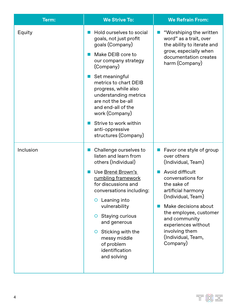| Term:     | <b>We Strive To:</b>                                                                                                                                                                                                                                                                                                                                          | <b>We Refrain From:</b>                                                                                                                                                                                                                                                                                        |
|-----------|---------------------------------------------------------------------------------------------------------------------------------------------------------------------------------------------------------------------------------------------------------------------------------------------------------------------------------------------------------------|----------------------------------------------------------------------------------------------------------------------------------------------------------------------------------------------------------------------------------------------------------------------------------------------------------------|
| Equity    | Hold ourselves to social<br>goals, not just profit<br>goals (Company)<br>Make DEIB core to<br>our company strategy<br>(Company)<br>Set meaningful<br>metrics to chart DEIB<br>progress, while also<br>understanding metrics<br>are not the be-all<br>and end-all of the<br>work (Company)<br>Strive to work within<br>anti-oppressive<br>structures (Company) | "Worshiping the written<br>word" as a trait, over<br>the ability to iterate and<br>grow, especially when<br>documentation creates<br>harm (Company)                                                                                                                                                            |
| Inclusion | Challenge ourselves to<br>listen and learn from<br>others (Individual)<br>Use Brené Brown's<br>rumbling framework<br>for discussions and<br>conversations including:<br>O Leaning into<br>vulnerability<br>O Staying curious<br>and generous<br>$\circ$ Sticking with the<br>messy middle<br>of problem<br>identification<br>and solving                      | Favor one style of group<br>over others<br>(Individual, Team)<br>Avoid difficult<br>conversations for<br>the sake of<br>artificial harmony<br>(Individual, Team)<br>Make decisions about<br>the employee, customer<br>and community<br>experiences without<br>involving them<br>(Individual, Team,<br>Company) |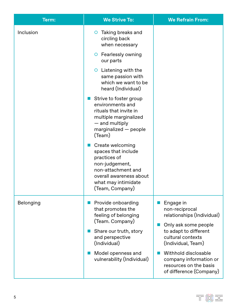| Term:     | <b>We Strive To:</b>                                                                                                                                                                   | <b>We Refrain From:</b>                                                                             |
|-----------|----------------------------------------------------------------------------------------------------------------------------------------------------------------------------------------|-----------------------------------------------------------------------------------------------------|
| Inclusion | Taking breaks and<br>$\circ$<br>circling back<br>when necessary                                                                                                                        |                                                                                                     |
|           | O Fearlessly owning<br>our parts                                                                                                                                                       |                                                                                                     |
|           | $\circ$ Listening with the<br>same passion with<br>which we want to be<br>heard (Individual)                                                                                           |                                                                                                     |
|           | Strive to foster group<br><b>STAR</b><br>environments and<br>rituals that invite in<br>multiple marginalized<br>- and multiply<br>marginalized - people<br>(Team)                      |                                                                                                     |
|           | Create welcoming<br>$\mathbb{R}^n$<br>spaces that include<br>practices of<br>non-judgement,<br>non-attachment and<br>overall awareness about<br>what may intimidate<br>(Team, Company) |                                                                                                     |
| Belonging | Provide onboarding<br>that promotes the<br>feeling of belonging                                                                                                                        | Engage in<br>non-reciprocal<br>relationships (Individual)                                           |
|           | (Team. Company)<br>Share our truth, story<br>ш<br>and perspective<br>(Individual)                                                                                                      | Only ask some people<br>to adapt to different<br>cultural contexts<br>(Individual, Team)            |
|           | Model openness and<br>vulnerability (Individual)                                                                                                                                       | Withhold disclosable<br>company information or<br>resources on the basis<br>of difference (Company) |

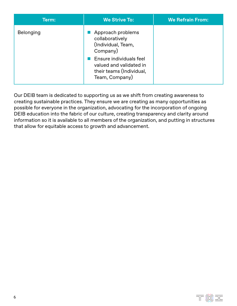| Term:            | <b>We Strive To:</b>                                                                                                                                                       | <b>We Refrain From:</b> |
|------------------|----------------------------------------------------------------------------------------------------------------------------------------------------------------------------|-------------------------|
| <b>Belonging</b> | Approach problems<br>collaboratively<br>(Individual, Team,<br>Company)<br>Ensure individuals feel<br>valued and validated in<br>their teams (Individual,<br>Team, Company) |                         |

Our DEIB team is dedicated to supporting us as we shift from creating awareness to creating sustainable practices. They ensure we are creating as many opportunities as possible for everyone in the organization, advocating for the incorporation of ongoing DEIB education into the fabric of our culture, creating transparency and clarity around information so it is available to all members of the organization, and putting in structures that allow for equitable access to growth and advancement.

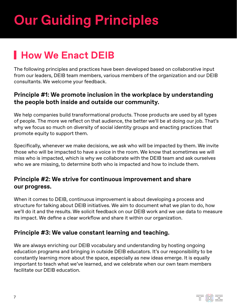## **Our Guiding Principles**

## **How We Enact DEIB**

The following principles and practices have been developed based on collaborative input from our leaders, DEIB team members, various members of the organization and our DEIB consultants. We welcome your feedback.

#### **Principle #1: We promote inclusion in the workplace by understanding the people both inside and outside our community.**

We help companies build transformational products. Those products are used by all types of people. The more we reflect on that audience, the better we'll be at doing our job. That's why we focus so much on diversity of social identity groups and enacting practices that promote equity to support them.

Specifically, whenever we make decisions, we ask who will be impacted by them. We invite those who will be impacted to have a voice in the room. We know that sometimes we will miss who is impacted, which is why we collaborate with the DEIB team and ask ourselves who we are missing, to determine both who is impacted and how to include them.

#### **Principle #2: We strive for continuous improvement and share our progress.**

When it comes to DEIB, continuous improvement is about developing a process and structure for talking about DEIB initiatives. We aim to document what we plan to do, how we'll do it and the results. We solicit feedback on our DEIB work and we use data to measure its impact. We define a clear workflow and share it within our organization.

#### **Principle #3: We value constant learning and teaching.**

We are always enriching our DEIB vocabulary and understanding by hosting ongoing education programs and bringing in outside DEIB educators. It's our responsibility to be constantly learning more about the space, especially as new ideas emerge. It is equally important to teach what we've learned, and we celebrate when our own team members facilitate our DEIB education.

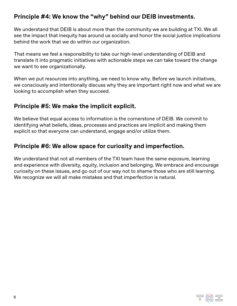#### **Principle #4: We know the "why" behind our DEIB investments.**

We understand that DEIB is about more than the community we are building at TXI. We all see the impact that inequity has around us socially and honor the social justice implications behind the work that we do within our organization.

That means we feel a responsibility to take our high-level understanding of DEIB and translate it into pragmatic initiatives with actionable steps we can take toward the change we want to see organizationally.

When we put resources into anything, we need to know why. Before we launch initiatives, we consciously and intentionally discuss why they are important right now and what we are looking to accomplish when they succeed.

#### **Principle #5: We make the implicit explicit.**

We believe that equal access to information is the cornerstone of DEIB. We commit to identifying what beliefs, ideas, processes and practices are implicit and making them explicit so that everyone can understand, engage and/or utilize them.

#### **Principle #6: We allow space for curiosity and imperfection.**

We understand that not all members of the TXI team have the same exposure, learning and experience with diversity, equity, inclusion and belonging. We embrace and encourage curiosity on these issues, and go out of our way not to shame those who are still learning. We recognize we will all make mistakes and that imperfection is natural.

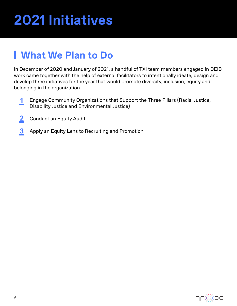## **2021 Initiatives**

### **What We Plan to Do**

In December of 2020 and January of 2021, a handful of TXI team members engaged in DEIB work came together with the help of external facilitators to intentionally ideate, design and develop three initiatives for the year that would promote diversity, inclusion, equity and belonging in the organization.

- Engage Community Organizations that Support the Three Pillars (Racial Justice, Disability Justice and Environmental Justice) **1**
- Conduct an Equity Audit **2**
- Apply an Equity Lens to Recruiting and Promotion **3**